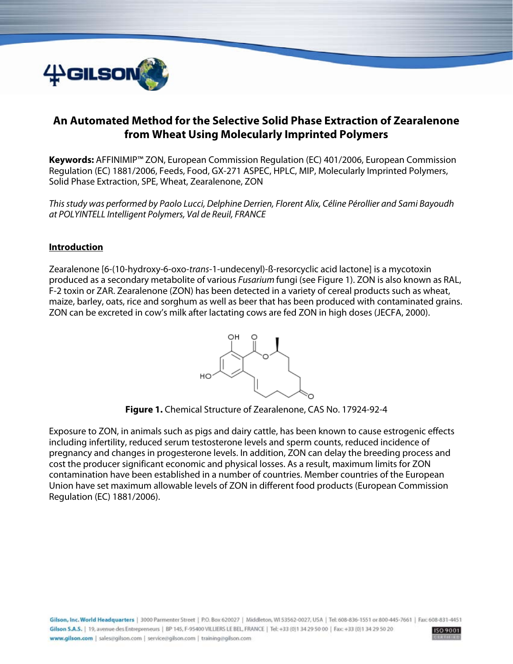

# **An Automated Method for the Selective Solid Phase Extraction of Zearalenone from Wheat Using Molecularly Imprinted Polymers**

**Keywords:** AFFINIMIP™ ZON, European Commission Regulation (EC) 401/2006, European Commission Regulation (EC) 1881/2006, Feeds, Food, GX-271 ASPEC, HPLC, MIP, Molecularly Imprinted Polymers, Solid Phase Extraction, SPE, Wheat, Zearalenone, ZON

This study was performed by Paolo Lucci, Delphine Derrien, Florent Alix, Céline Pérollier and Sami Bayoudh at POLYINTELL Intelligent Polymers, Val de Reuil, FRANCE

#### **Introduction**

Zearalenone [6-(10-hydroxy-6-oxo-trans-1-undecenyl)-ß-resorcyclic acid lactone] is a mycotoxin produced as a secondary metabolite of various Fusarium fungi (see Figure 1). ZON is also known as RAL, F-2 toxin or ZAR. Zearalenone (ZON) has been detected in a variety of cereal products such as wheat, maize, barley, oats, rice and sorghum as well as beer that has been produced with contaminated grains. ZON can be excreted in cow's milk after lactating cows are fed ZON in high doses (JECFA, 2000).



**Figure 1.** Chemical Structure of Zearalenone, CAS No. 17924-92-4

Exposure to ZON, in animals such as pigs and dairy cattle, has been known to cause estrogenic effects including infertility, reduced serum testosterone levels and sperm counts, reduced incidence of pregnancy and changes in progesterone levels. In addition, ZON can delay the breeding process and cost the producer significant economic and physical losses. As a result, maximum limits for ZON contamination have been established in a number of countries. Member countries of the European Union have set maximum allowable levels of ZON in different food products (European Commission Regulation (EC) 1881/2006).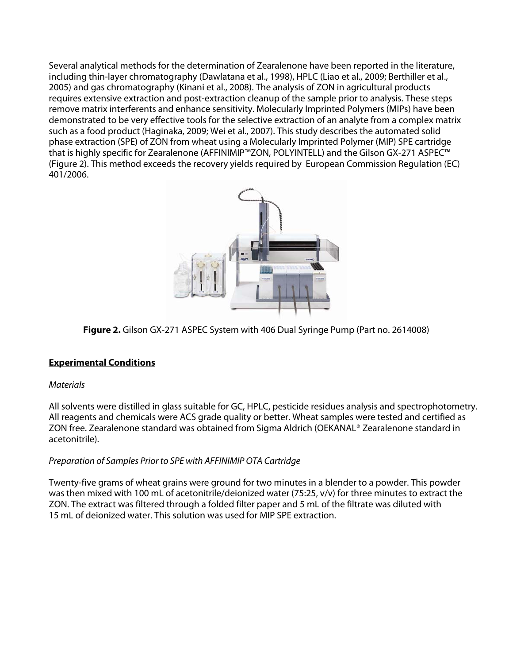Several analytical methods for the determination of Zearalenone have been reported in the literature, including thin-layer chromatography (Dawlatana et al., 1998), HPLC (Liao et al., 2009; Berthiller et al., 2005) and gas chromatography (Kinani et al., 2008). The analysis of ZON in agricultural products requires extensive extraction and post-extraction cleanup of the sample prior to analysis. These steps remove matrix interferents and enhance sensitivity. Molecularly Imprinted Polymers (MIPs) have been demonstrated to be very effective tools for the selective extraction of an analyte from a complex matrix such as a food product (Haginaka, 2009; Wei et al., 2007). This study describes the automated solid phase extraction (SPE) of ZON from wheat using a Molecularly Imprinted Polymer (MIP) SPE cartridge that is highly specific for Zearalenone (AFFINIMIP™ZON, POLYINTELL) and the Gilson GX-271 ASPEC™ (Figure 2). This method exceeds the recovery yields required by European Commission Regulation (EC) 401/2006.



**Figure 2.** Gilson GX-271 ASPEC System with 406 Dual Syringe Pump (Part no. 2614008)

## **Experimental Conditions**

## **Materials**

All solvents were distilled in glass suitable for GC, HPLC, pesticide residues analysis and spectrophotometry. All reagents and chemicals were ACS grade quality or better. Wheat samples were tested and certified as ZON free. Zearalenone standard was obtained from Sigma Aldrich (OEKANAL® Zearalenone standard in acetonitrile).

## Preparation of Samples Prior to SPE with AFFINIMIP OTA Cartridge

Twenty-five grams of wheat grains were ground for two minutes in a blender to a powder. This powder was then mixed with 100 mL of acetonitrile/deionized water (75:25, v/v) for three minutes to extract the ZON. The extract was filtered through a folded filter paper and 5 mL of the filtrate was diluted with 15 mL of deionized water. This solution was used for MIP SPE extraction.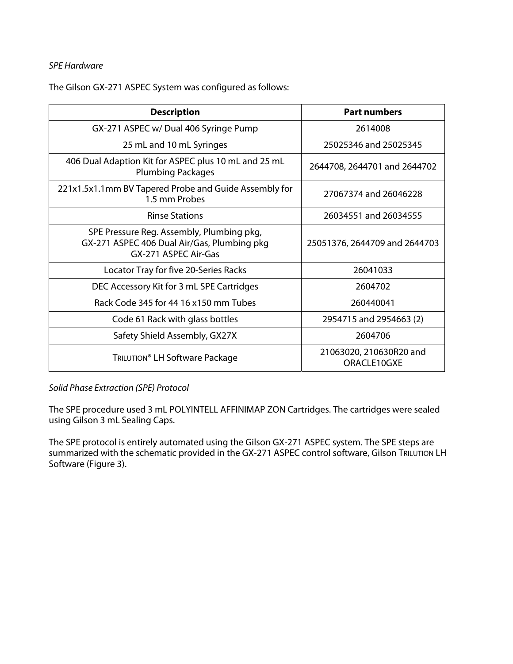#### SPE Hardware

The Gilson GX-271 ASPEC System was configured as follows:

| <b>Description</b>                                                                                               | <b>Part numbers</b>                    |
|------------------------------------------------------------------------------------------------------------------|----------------------------------------|
| GX-271 ASPEC w/ Dual 406 Syringe Pump                                                                            | 2614008                                |
| 25 mL and 10 mL Syringes                                                                                         | 25025346 and 25025345                  |
| 406 Dual Adaption Kit for ASPEC plus 10 mL and 25 mL<br><b>Plumbing Packages</b>                                 | 2644708, 2644701 and 2644702           |
| 221x1.5x1.1mm BV Tapered Probe and Guide Assembly for<br>1.5 mm Probes                                           | 27067374 and 26046228                  |
| <b>Rinse Stations</b>                                                                                            | 26034551 and 26034555                  |
| SPE Pressure Reg. Assembly, Plumbing pkg,<br>GX-271 ASPEC 406 Dual Air/Gas, Plumbing pkg<br>GX-271 ASPEC Air-Gas | 25051376, 2644709 and 2644703          |
| Locator Tray for five 20-Series Racks                                                                            | 26041033                               |
| DEC Accessory Kit for 3 mL SPE Cartridges                                                                        | 2604702                                |
| Rack Code 345 for 44 16 x150 mm Tubes                                                                            | 260440041                              |
| Code 61 Rack with glass bottles                                                                                  | 2954715 and 2954663 (2)                |
| Safety Shield Assembly, GX27X                                                                                    | 2604706                                |
| TRILUTION <sup>®</sup> LH Software Package                                                                       | 21063020, 210630R20 and<br>ORACLE10GXE |

Solid Phase Extraction (SPE) Protocol

The SPE procedure used 3 mL POLYINTELL AFFINIMAP ZON Cartridges. The cartridges were sealed using Gilson 3 mL Sealing Caps.

The SPE protocol is entirely automated using the Gilson GX-271 ASPEC system. The SPE steps are summarized with the schematic provided in the GX-271 ASPEC control software, Gilson TRILUTION LH Software (Figure 3).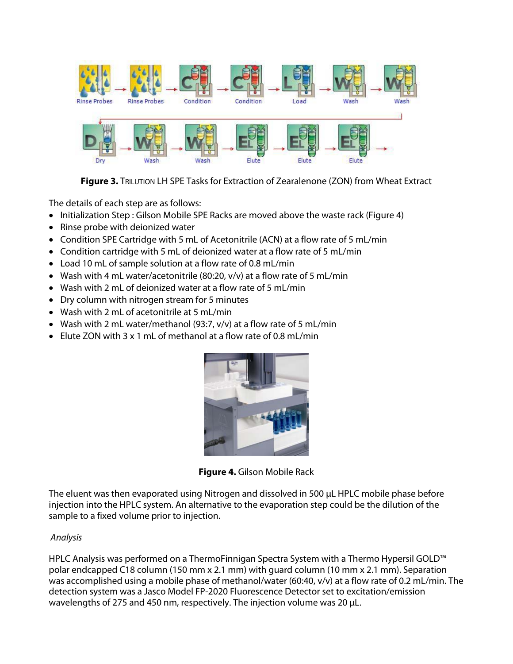

**Figure 3.** TRILUTION LH SPE Tasks for Extraction of Zearalenone (ZON) from Wheat Extract

The details of each step are as follows:

- Initialization Step : Gilson Mobile SPE Racks are moved above the waste rack (Figure 4)
- Rinse probe with deionized water
- Condition SPE Cartridge with 5 mL of Acetonitrile (ACN) at a flow rate of 5 mL/min
- Condition cartridge with 5 mL of deionized water at a flow rate of 5 mL/min
- Load 10 mL of sample solution at a flow rate of 0.8 mL/min
- Wash with 4 mL water/acetonitrile (80:20, v/v) at a flow rate of 5 mL/min
- Wash with 2 mL of deionized water at a flow rate of 5 mL/min
- Dry column with nitrogen stream for 5 minutes
- Wash with 2 mL of acetonitrile at 5 mL/min
- Wash with 2 mL water/methanol (93:7, v/v) at a flow rate of 5 mL/min
- Elute ZON with 3 x 1 mL of methanol at a flow rate of 0.8 mL/min



**Figure 4.** Gilson Mobile Rack

The eluent was then evaporated using Nitrogen and dissolved in 500 μL HPLC mobile phase before injection into the HPLC system. An alternative to the evaporation step could be the dilution of the sample to a fixed volume prior to injection.

## Analysis

HPLC Analysis was performed on a ThermoFinnigan Spectra System with a Thermo Hypersil GOLD™ polar endcapped C18 column (150 mm x 2.1 mm) with guard column (10 mm x 2.1 mm). Separation was accomplished using a mobile phase of methanol/water (60:40, v/v) at a flow rate of 0.2 mL/min. The detection system was a Jasco Model FP-2020 Fluorescence Detector set to excitation/emission wavelengths of 275 and 450 nm, respectively. The injection volume was 20 μL.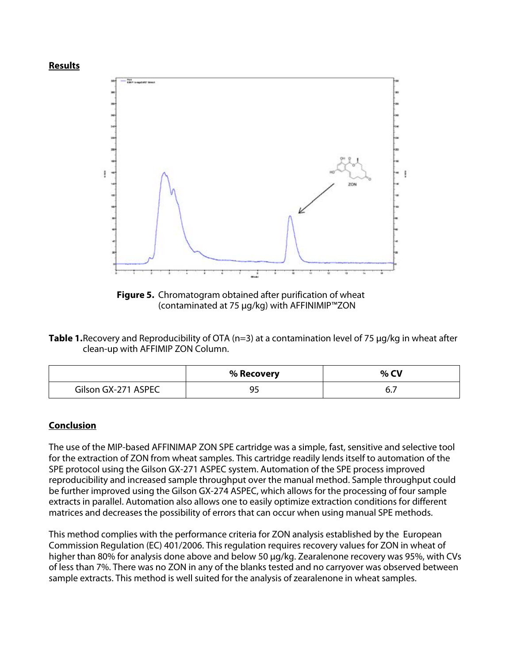



**Figure 5.** Chromatogram obtained after purification of wheat (contaminated at 75 μg/kg) with AFFINIMIP™ZON

**Table 1.** Recovery and Reproducibility of OTA (n=3) at a contamination level of 75 μg/kg in wheat after clean-up with AFFIMIP ZON Column.

|                     | % Recovery | $%$ CV |
|---------------------|------------|--------|
| Gilson GX-271 ASPEC | ر ر        | ပ.,    |

#### **Conclusion**

The use of the MIP-based AFFINIMAP ZON SPE cartridge was a simple, fast, sensitive and selective tool for the extraction of ZON from wheat samples. This cartridge readily lends itself to automation of the SPE protocol using the Gilson GX-271 ASPEC system. Automation of the SPE process improved reproducibility and increased sample throughput over the manual method. Sample throughput could be further improved using the Gilson GX-274 ASPEC, which allows for the processing of four sample extracts in parallel. Automation also allows one to easily optimize extraction conditions for different matrices and decreases the possibility of errors that can occur when using manual SPE methods.

This method complies with the performance criteria for ZON analysis established by the European Commission Regulation (EC) 401/2006. This regulation requires recovery values for ZON in wheat of higher than 80% for analysis done above and below 50 μg/kg. Zearalenone recovery was 95%, with CVs of less than 7%. There was no ZON in any of the blanks tested and no carryover was observed between sample extracts. This method is well suited for the analysis of zearalenone in wheat samples.